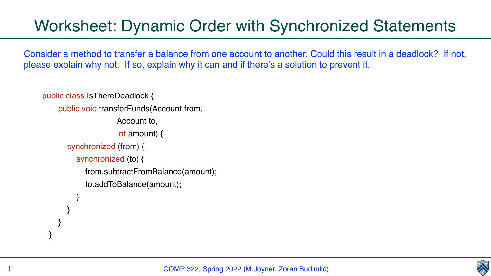## Worksheet: Dynamic Order with Synchronized Statements

Consider a method to transfer a balance from one account to another. Could this result in a deadlock? If not, please explain why not. If so, explain why it can and if there's a solution to prevent it.

public class IsThereDeadlock { public void transferFunds(Account from, Account to, int amount) { synchronized (from) { synchronized (to) { from.subtractFromBalance(amount); to.addToBalance(amount); } } } }



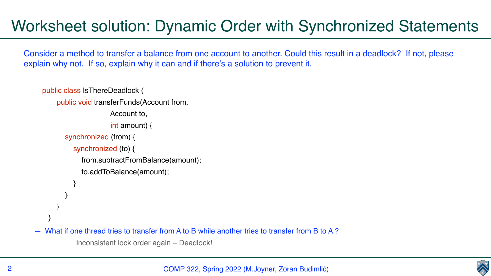COMP 322, Spring 2022 (M.Joyner, Zoran Budimlić)





## Worksheet solution: Dynamic Order with Synchronized Statements

Consider a method to transfer a balance from one account to another. Could this result in a deadlock? If not, please explain why not. If so, explain why it can and if there's a solution to prevent it.

```
public class IsThereDeadlock {
     public void transferFunds(Account from, 
                    Account to, 
                    int amount) {
       synchronized (from) {
         synchronized (to) {
            from.subtractFromBalance(amount);
            to.addToBalance(amount);
 }
 }
 }
 }
What if one thread tries to transfer from A to B while another tries to transfer from B to A?
         Inconsistent lock order again – Deadlock!
```